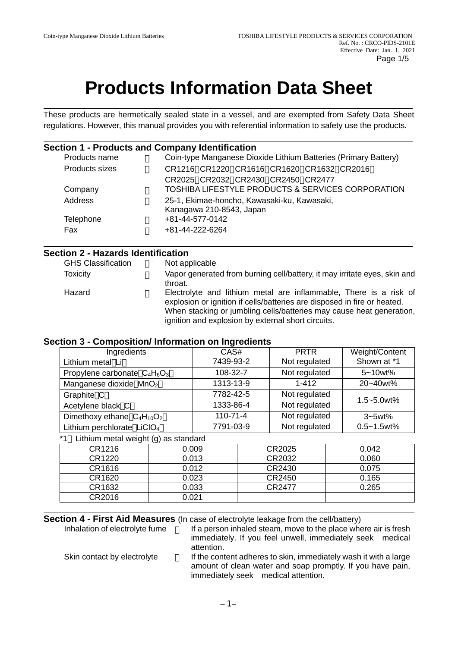# **Products Information Data Sheet**

These products are hermetically sealed state in a vessel, and are exempted from Safety Data Sheet regulations. However, this manual provides you with referential information to safety use the products.

#### **Section 1 - Products and Company Identification**

| Coin-type Manganese Dioxide Lithium Batteries (Primary Battery)         |
|-------------------------------------------------------------------------|
| CR1216 CR1220 CR1616 CR1620 CR1632 CR2016                               |
| CR2025 CR2032 CR2430 CR2450 CR2477                                      |
| TOSHIBA LIFESTYLE PRODUCTS & SERVICES CORPORATION                       |
| 25-1, Ekimae-honcho, Kawasaki-ku, Kawasaki,<br>Kanagawa 210-8543, Japan |
| +81-44-577-0142                                                         |
| +81-44-222-6264                                                         |
|                                                                         |

# **Section 2 - Hazards Identification**

**GHS Classification** 

Toxicity Vapor generated from burning cell/battery, it may irritate eyes, skin and throat. Hazard Electrolyte and lithium metal are inflammable, There is a risk of explosion or ignition if cells/batteries are disposed in fire or heated. When stacking or jumbling cells/batteries may cause heat generation, ignition and explosion by external short circuits.

# **Section 3 - Composition/ Information on Ingredients**

| Ingredients                                | CAS#      |                |           | <b>PRTR</b>   |  | Weight/Content  |
|--------------------------------------------|-----------|----------------|-----------|---------------|--|-----------------|
| Lithium metal Li                           |           | 7439-93-2      |           | Not regulated |  | Shown at *1     |
| Propylene carbonate $C_4H_6O_3$            |           | 108-32-7       |           | Not regulated |  | 5~10wt%         |
| Manganese dioxide MnO <sub>2</sub>         |           | 1313-13-9      |           | $1 - 412$     |  | 20~40wt%        |
| Graphite C                                 | 7782-42-5 |                |           | Not regulated |  |                 |
| Acetylene black C                          |           |                | 1333-86-4 | Not regulated |  | 1.5~5.0wt%      |
| Dimethoxy ethane $C_4H_{10}O_2$            |           | $110 - 71 - 4$ |           | Not regulated |  | $3-5$ wt $%$    |
| Lithium perchlorate LiCIO <sub>4</sub>     |           | 7791-03-9      |           | Not regulated |  | $0.5 - 1.5$ wt% |
| Lithium metal weight (g) as standard<br>*1 |           |                |           |               |  |                 |
| CR1216                                     | 0.009     |                |           | CR2025        |  | 0.042           |
| CR1220                                     | 0.013     |                |           | CR2032        |  | 0.060           |
| CR1616                                     | 0.012     |                |           | CR2430        |  | 0.075           |
| CR1620                                     | 0.023     |                |           | CR2450        |  | 0.165           |
| CR1632                                     | 0.033     |                |           | CR2477        |  | 0.265           |
| CR2016                                     | 0.021     |                |           |               |  |                 |

**Section 4 - First Aid Measures** (In case of electrolyte leakage from the cell/battery)<br>Inhalation of electrolyte fume lf a person inhaled steam, move to the place whe

If a person inhaled steam, move to the place where air is fresh immediately. If you feel unwell, immediately seek medical attention. Skin contact by electrolyte If the content adheres to skin, immediately wash it with a large amount of clean water and soap promptly. If you have pain, immediately seek medical attention.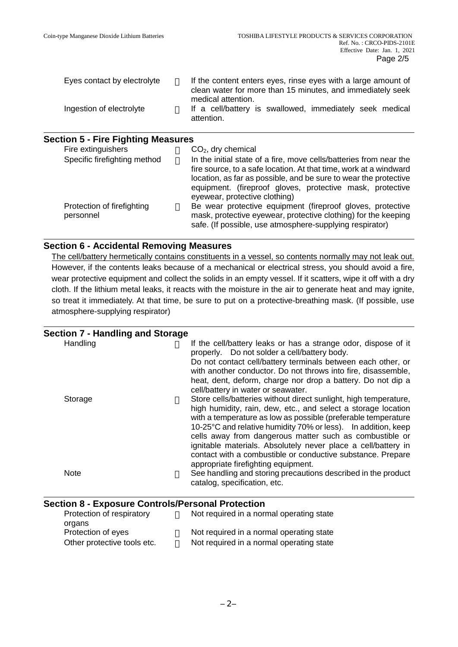| Eyes contact by electrolyte | If the content enters eyes, rinse eyes with a large amount of<br>clean water for more than 15 minutes, and immediately seek |  |
|-----------------------------|-----------------------------------------------------------------------------------------------------------------------------|--|
| Ingestion of electrolyte    | medical attention.<br>If a cell/battery is swallowed, immediately seek medical<br>attention.                                |  |

# **Section 5 - Fire Fighting Measures**

| Fire extinguishers                      | $CO2$ , dry chemical                                                                                                                                                                                                                                                     |
|-----------------------------------------|--------------------------------------------------------------------------------------------------------------------------------------------------------------------------------------------------------------------------------------------------------------------------|
| Specific firefighting method            | In the initial state of a fire, move cells/batteries from near the<br>fire source, to a safe location. At that time, work at a windward<br>location, as far as possible, and be sure to wear the protective<br>equipment. (fireproof gloves, protective mask, protective |
| Protection of firefighting<br>personnel | eyewear, protective clothing)<br>Be wear protective equipment (fireproof gloves, protective<br>mask, protective eyewear, protective clothing) for the keeping<br>safe. (If possible, use atmosphere-supplying respirator)                                                |

# **Section 6 - Accidental Removing Measures**

The cell/battery hermetically contains constituents in a vessel, so contents normally may not leak out. However, if the contents leaks because of a mechanical or electrical stress, you should avoid a fire, wear protective equipment and collect the solids in an empty vessel. If it scatters, wipe it off with a dry cloth. If the lithium metal leaks, it reacts with the moisture in the air to generate heat and may ignite, so treat it immediately. At that time, be sure to put on a protective-breathing mask. (If possible, use atmosphere-supplying respirator)

| Section 7 - Handling and Storage |                                                                                                                                                                                                                                                                                                                                                                                                                                                                                                                                             |
|----------------------------------|---------------------------------------------------------------------------------------------------------------------------------------------------------------------------------------------------------------------------------------------------------------------------------------------------------------------------------------------------------------------------------------------------------------------------------------------------------------------------------------------------------------------------------------------|
| Handling                         | If the cell/battery leaks or has a strange odor, dispose of it<br>properly. Do not solder a cell/battery body.<br>Do not contact cell/battery terminals between each other, or<br>with another conductor. Do not throws into fire, disassemble,<br>heat, dent, deform, charge nor drop a battery. Do not dip a                                                                                                                                                                                                                              |
| Storage                          | cell/battery in water or seawater.<br>Store cells/batteries without direct sunlight, high temperature,<br>high humidity, rain, dew, etc., and select a storage location<br>with a temperature as low as possible (preferable temperature<br>10-25°C and relative humidity 70% or less). In addition, keep<br>cells away from dangerous matter such as combustible or<br>ignitable materials. Absolutely never place a cell/battery in<br>contact with a combustible or conductive substance. Prepare<br>appropriate firefighting equipment. |
| <b>Note</b>                      | See handling and storing precautions described in the product<br>catalog, specification, etc.                                                                                                                                                                                                                                                                                                                                                                                                                                               |

# **Section 8 - Exposure Controls/Personal Protection**

| Protection of respiratory   | Not required in a normal operating state |
|-----------------------------|------------------------------------------|
| organs                      |                                          |
| Protection of eyes          | Not required in a normal operating state |
| Other protective tools etc. | Not required in a normal operating state |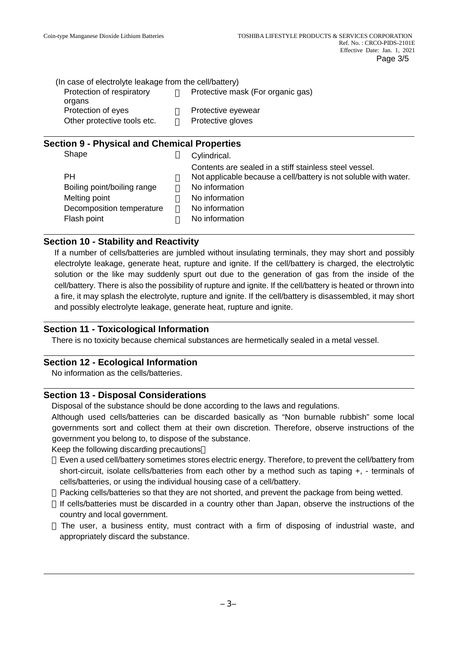| (In case of electrolyte leakage from the cell/battery) |                                   |
|--------------------------------------------------------|-----------------------------------|
| Protection of respiratory                              | Protective mask (For organic gas) |
| organs                                                 |                                   |
| Protection of eyes                                     | Protective eyewear                |
| Other protective tools etc.                            | Protective gloves                 |

# **Section 9 - Physical and Chemical Properties**

| Shape                       | Cylindrical.                                                     |
|-----------------------------|------------------------------------------------------------------|
|                             | Contents are sealed in a stiff stainless steel vessel.           |
| <b>PH</b>                   | Not applicable because a cell/battery is not soluble with water. |
| Boiling point/boiling range | No information                                                   |
| Melting point               | No information                                                   |
| Decomposition temperature   | No information                                                   |
| Flash point                 | No information                                                   |
|                             |                                                                  |

# **Section 10 - Stability and Reactivity**

If a number of cells/batteries are jumbled without insulating terminals, they may short and possibly electrolyte leakage, generate heat, rupture and ignite. If the cell/battery is charged, the electrolytic solution or the like may suddenly spurt out due to the generation of gas from the inside of the cell/battery. There is also the possibility of rupture and ignite. If the cell/battery is heated or thrown into a fire, it may splash the electrolyte, rupture and ignite. If the cell/battery is disassembled, it may short and possibly electrolyte leakage, generate heat, rupture and ignite.

#### **Section 11 - Toxicological Information**

There is no toxicity because chemical substances are hermetically sealed in a metal vessel.

#### **Section 12 - Ecological Information**

No information as the cells/batteries.

# **Section 13 - Disposal Considerations**

Disposal of the substance should be done according to the laws and regulations.

Although used cells/batteries can be discarded basically as "Non burnable rubbish" some local governments sort and collect them at their own discretion. Therefore, observe instructions of the government you belong to, to dispose of the substance.

Keep the following discarding precautions

Even a used cell/battery sometimes stores electric energy. Therefore, to prevent the cell/battery from short-circuit, isolate cells/batteries from each other by a method such as taping +, - terminals of cells/batteries, or using the individual housing case of a cell/battery.

Packing cells/batteries so that they are not shorted, and prevent the package from being wetted.

If cells/batteries must be discarded in a country other than Japan, observe the instructions of the country and local government.

The user, a business entity, must contract with a firm of disposing of industrial waste, and appropriately discard the substance.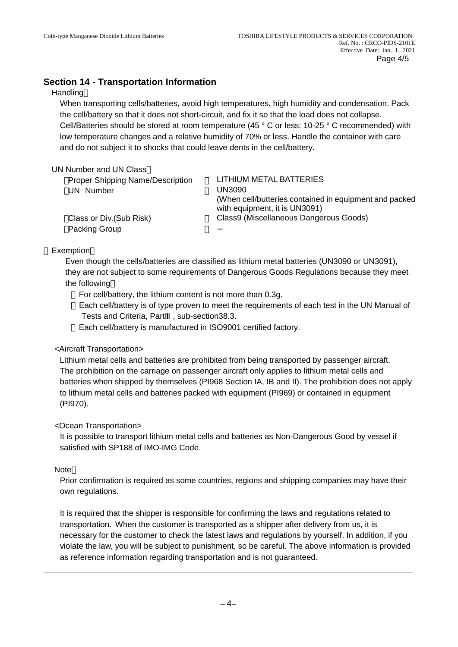# **Section 14 - Transportation Information**

#### **Handling**

When transporting cells/batteries, avoid high temperatures, high humidity and condensation. Pack the cell/battery so that it does not short-circuit, and fix it so that the load does not collapse. Cell/Batteries should be stored at room temperature (45 ° C or less: 10-25 ° C recommended) with low temperature changes and a relative humidity of 70% or less. Handle the container with care and do not subject it to shocks that could leave dents in the cell/battery.

UN Number and UN Class

Proper Shipping Name/Description LITHIUM METAL BATTERIES UN Number UN3090

(When cell/butteries contained in equipment and packed with equipment, it is UN3091) Class or Div.(Sub Risk) Class9 (Miscellaneous Dangerous Goods)

Packing Group

# Exemption

Even though the cells/batteries are classified as lithium metal batteries (UN3090 or UN3091), they are not subject to some requirements of Dangerous Goods Regulations because they meet the following

For cell/battery, the lithium content is not more than 0.3g.

Each cell/battery is of type proven to meet the requirements of each test in the UN Manual of Tests and Criteria, Part , sub-section38.3.

Each cell/battery is manufactured in ISO9001 certified factory.

# <Aircraft Transportation>

Lithium metal cells and batteries are prohibited from being transported by passenger aircraft. The prohibition on the carriage on passenger aircraft only applies to lithium metal cells and batteries when shipped by themselves (PI968 Section IA, IB and II). The prohibition does not apply to lithium metal cells and batteries packed with equipment (PI969) or contained in equipment (PI970).

# <Ocean Transportation>

It is possible to transport lithium metal cells and batteries as Non-Dangerous Good by vessel if satisfied with SP188 of IMO-IMG Code.

#### Note

Prior confirmation is required as some countries, regions and shipping companies may have their own regulations.

It is required that the shipper is responsible for confirming the laws and regulations related to transportation. When the customer is transported as a shipper after delivery from us, it is necessary for the customer to check the latest laws and regulations by yourself. In addition, if you violate the law, you will be subject to punishment, so be careful. The above information is provided as reference information regarding transportation and is not guaranteed.